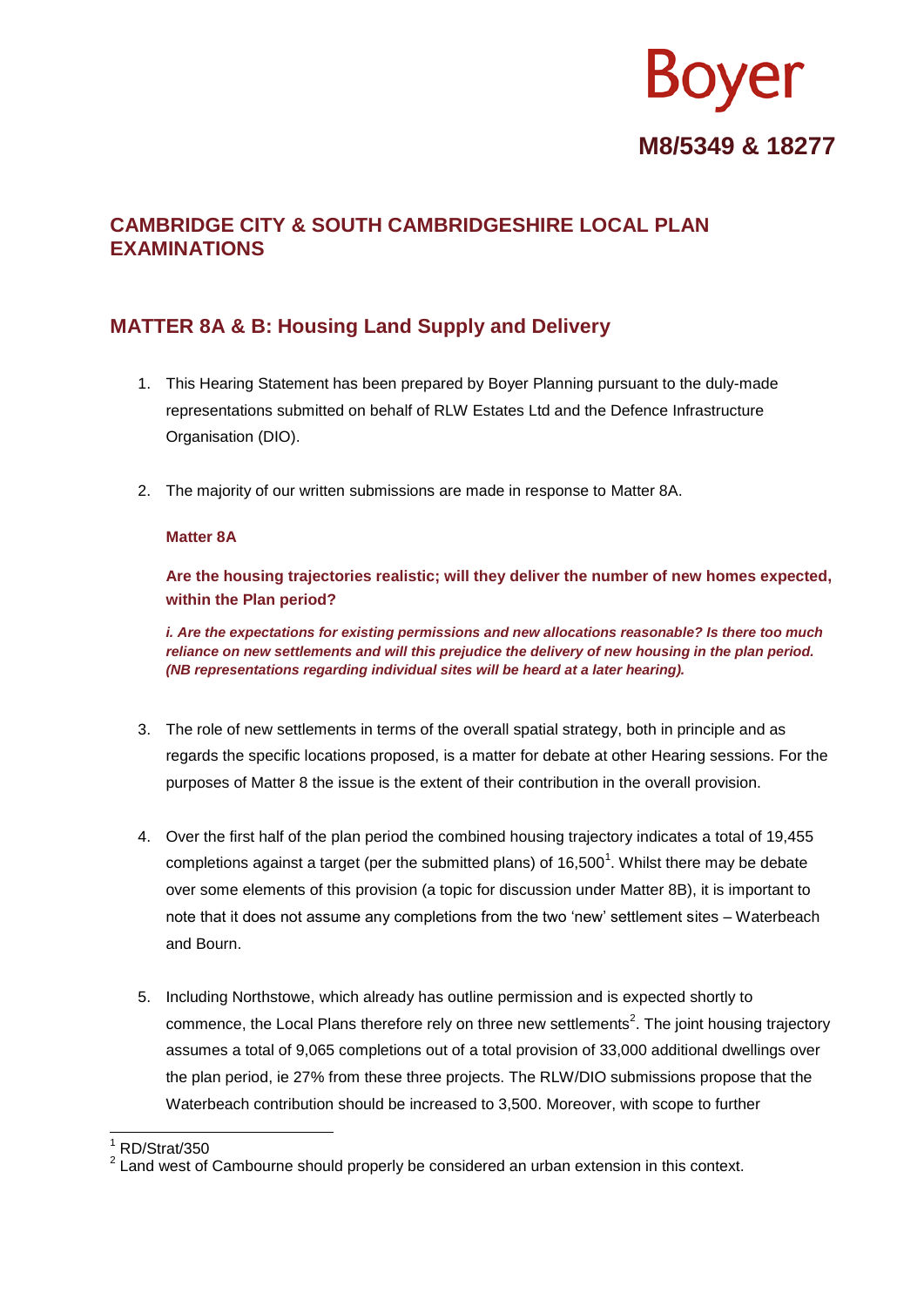

# **CAMBRIDGE CITY & SOUTH CAMBRIDGESHIRE LOCAL PLAN EXAMINATIONS**

# **MATTER 8A & B: Housing Land Supply and Delivery**

- 1. This Hearing Statement has been prepared by Boyer Planning pursuant to the duly-made representations submitted on behalf of RLW Estates Ltd and the Defence Infrastructure Organisation (DIO).
- 2. The majority of our written submissions are made in response to Matter 8A.

## **Matter 8A**

**Are the housing trajectories realistic; will they deliver the number of new homes expected, within the Plan period?** 

*i. Are the expectations for existing permissions and new allocations reasonable? Is there too much reliance on new settlements and will this prejudice the delivery of new housing in the plan period. (NB representations regarding individual sites will be heard at a later hearing).* 

- 3. The role of new settlements in terms of the overall spatial strategy, both in principle and as regards the specific locations proposed, is a matter for debate at other Hearing sessions. For the purposes of Matter 8 the issue is the extent of their contribution in the overall provision.
- 4. Over the first half of the plan period the combined housing trajectory indicates a total of 19,455 completions against a target (per the submitted plans) of 16,500<sup>1</sup>. Whilst there may be debate over some elements of this provision (a topic for discussion under Matter 8B), it is important to note that it does not assume any completions from the two 'new' settlement sites – Waterbeach and Bourn.
- 5. Including Northstowe, which already has outline permission and is expected shortly to commence, the Local Plans therefore rely on three new settlements<sup>2</sup>. The joint housing trajectory assumes a total of 9,065 completions out of a total provision of 33,000 additional dwellings over the plan period, ie 27% from these three projects. The RLW/DIO submissions propose that the Waterbeach contribution should be increased to 3,500. Moreover, with scope to further

 $\overline{\phantom{a}}$ 

 $1$  RD/Strat/350

 $2$  Land west of Cambourne should properly be considered an urban extension in this context.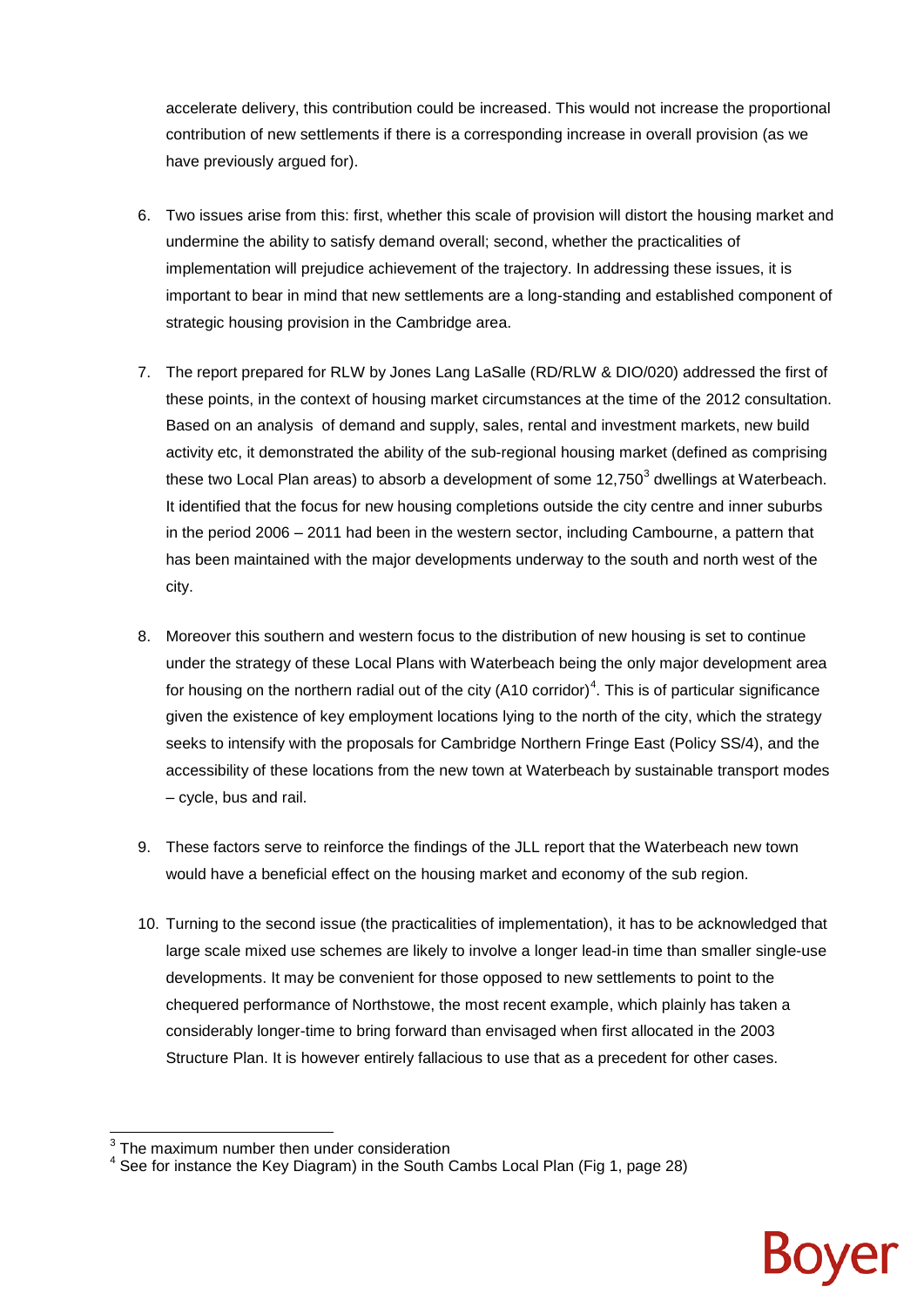accelerate delivery, this contribution could be increased. This would not increase the proportional contribution of new settlements if there is a corresponding increase in overall provision (as we have previously argued for).

- 6. Two issues arise from this: first, whether this scale of provision will distort the housing market and undermine the ability to satisfy demand overall; second, whether the practicalities of implementation will prejudice achievement of the trajectory. In addressing these issues, it is important to bear in mind that new settlements are a long-standing and established component of strategic housing provision in the Cambridge area.
- 7. The report prepared for RLW by Jones Lang LaSalle (RD/RLW & DIO/020) addressed the first of these points, in the context of housing market circumstances at the time of the 2012 consultation. Based on an analysis of demand and supply, sales, rental and investment markets, new build activity etc, it demonstrated the ability of the sub-regional housing market (defined as comprising these two Local Plan areas) to absorb a development of some 12,750<sup>3</sup> dwellings at Waterbeach. It identified that the focus for new housing completions outside the city centre and inner suburbs in the period 2006 – 2011 had been in the western sector, including Cambourne, a pattern that has been maintained with the major developments underway to the south and north west of the city.
- 8. Moreover this southern and western focus to the distribution of new housing is set to continue under the strategy of these Local Plans with Waterbeach being the only major development area for housing on the northern radial out of the city (A10 corridor)<sup>4</sup>. This is of particular significance given the existence of key employment locations lying to the north of the city, which the strategy seeks to intensify with the proposals for Cambridge Northern Fringe East (Policy SS/4), and the accessibility of these locations from the new town at Waterbeach by sustainable transport modes – cycle, bus and rail.
- 9. These factors serve to reinforce the findings of the JLL report that the Waterbeach new town would have a beneficial effect on the housing market and economy of the sub region.
- 10. Turning to the second issue (the practicalities of implementation), it has to be acknowledged that large scale mixed use schemes are likely to involve a longer lead-in time than smaller single-use developments. It may be convenient for those opposed to new settlements to point to the chequered performance of Northstowe, the most recent example, which plainly has taken a considerably longer-time to bring forward than envisaged when first allocated in the 2003 Structure Plan. It is however entirely fallacious to use that as a precedent for other cases.

 3 The maximum number then under consideration

 $<sup>4</sup>$  See for instance the Key Diagram) in the South Cambs Local Plan (Fig 1, page 28)</sup>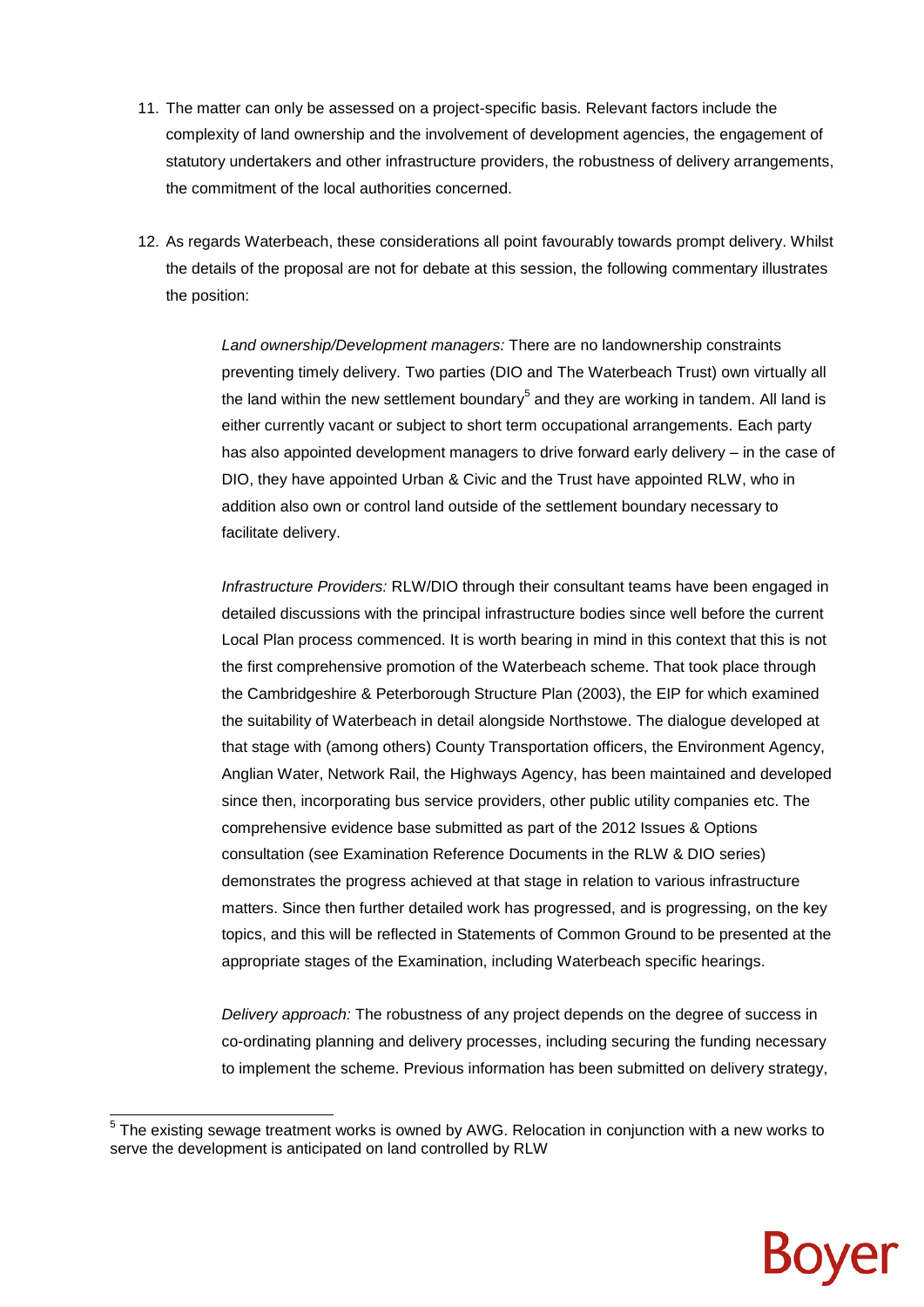- 11. The matter can only be assessed on a project-specific basis. Relevant factors include the complexity of land ownership and the involvement of development agencies, the engagement of statutory undertakers and other infrastructure providers, the robustness of delivery arrangements, the commitment of the local authorities concerned.
- 12. As regards Waterbeach, these considerations all point favourably towards prompt delivery. Whilst the details of the proposal are not for debate at this session, the following commentary illustrates the position:

*Land ownership/Development managers:* There are no landownership constraints preventing timely delivery. Two parties (DIO and The Waterbeach Trust) own virtually all the land within the new settlement boundary<sup>5</sup> and they are working in tandem. All land is either currently vacant or subject to short term occupational arrangements. Each party has also appointed development managers to drive forward early delivery – in the case of DIO, they have appointed Urban & Civic and the Trust have appointed RLW, who in addition also own or control land outside of the settlement boundary necessary to facilitate delivery.

*Infrastructure Providers:* RLW/DIO through their consultant teams have been engaged in detailed discussions with the principal infrastructure bodies since well before the current Local Plan process commenced. It is worth bearing in mind in this context that this is not the first comprehensive promotion of the Waterbeach scheme. That took place through the Cambridgeshire & Peterborough Structure Plan (2003), the EIP for which examined the suitability of Waterbeach in detail alongside Northstowe. The dialogue developed at that stage with (among others) County Transportation officers, the Environment Agency, Anglian Water, Network Rail, the Highways Agency, has been maintained and developed since then, incorporating bus service providers, other public utility companies etc. The comprehensive evidence base submitted as part of the 2012 Issues & Options consultation (see Examination Reference Documents in the RLW & DIO series) demonstrates the progress achieved at that stage in relation to various infrastructure matters. Since then further detailed work has progressed, and is progressing, on the key topics, and this will be reflected in Statements of Common Ground to be presented at the appropriate stages of the Examination, including Waterbeach specific hearings.

*Delivery approach:* The robustness of any project depends on the degree of success in co-ordinating planning and delivery processes, including securing the funding necessary to implement the scheme. Previous information has been submitted on delivery strategy,

l

 $5$  The existing sewage treatment works is owned by AWG. Relocation in conjunction with a new works to serve the development is anticipated on land controlled by RLW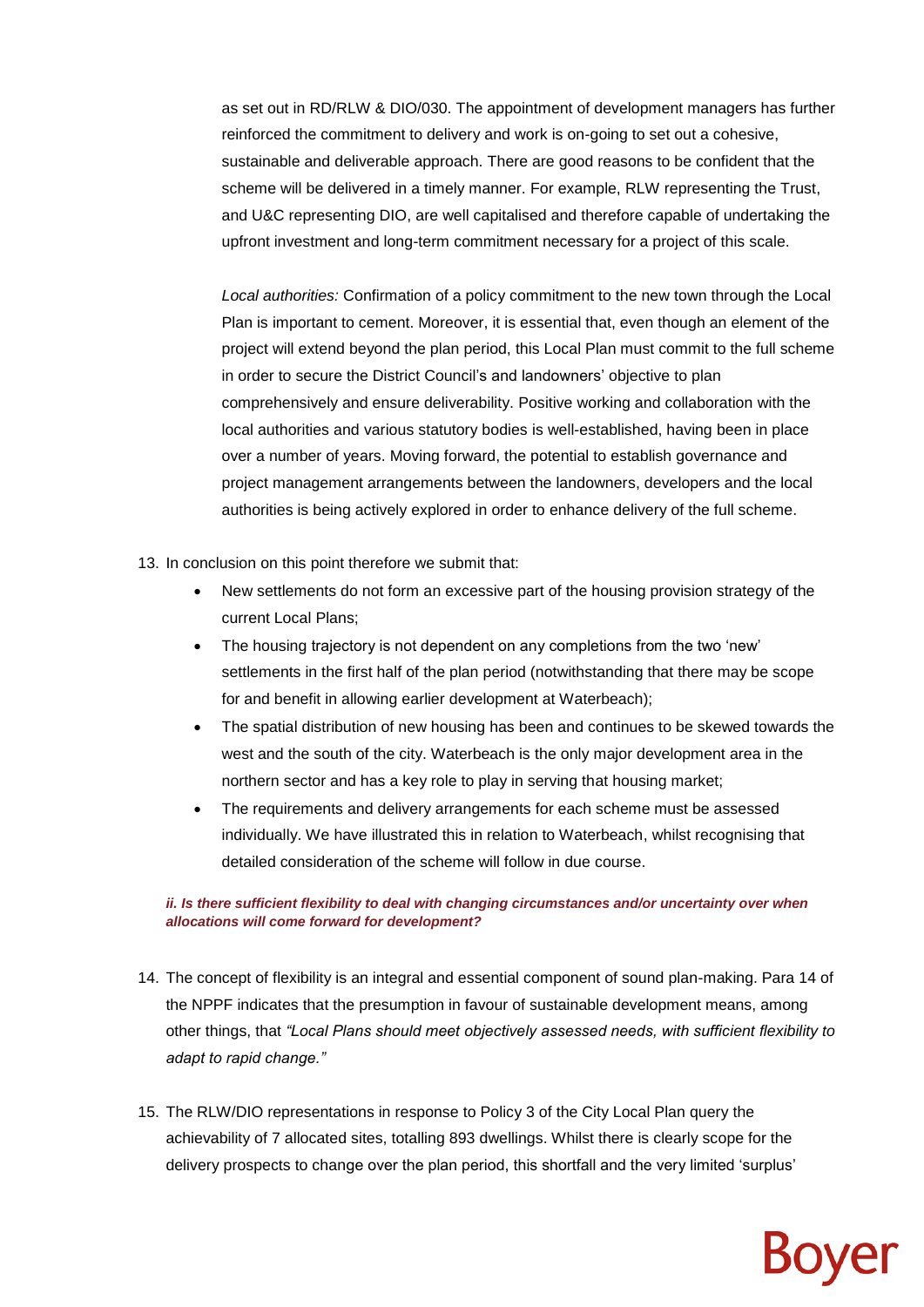as set out in RD/RLW & DIO/030. The appointment of development managers has further reinforced the commitment to delivery and work is on-going to set out a cohesive, sustainable and deliverable approach. There are good reasons to be confident that the scheme will be delivered in a timely manner. For example, RLW representing the Trust, and U&C representing DIO, are well capitalised and therefore capable of undertaking the upfront investment and long-term commitment necessary for a project of this scale.

*Local authorities:* Confirmation of a policy commitment to the new town through the Local Plan is important to cement. Moreover, it is essential that, even though an element of the project will extend beyond the plan period, this Local Plan must commit to the full scheme in order to secure the District Council's and landowners' objective to plan comprehensively and ensure deliverability. Positive working and collaboration with the local authorities and various statutory bodies is well-established, having been in place over a number of years. Moving forward, the potential to establish governance and project management arrangements between the landowners, developers and the local authorities is being actively explored in order to enhance delivery of the full scheme.

- 13. In conclusion on this point therefore we submit that:
	- New settlements do not form an excessive part of the housing provision strategy of the current Local Plans;
	- The housing trajectory is not dependent on any completions from the two 'new' settlements in the first half of the plan period (notwithstanding that there may be scope for and benefit in allowing earlier development at Waterbeach);
	- The spatial distribution of new housing has been and continues to be skewed towards the west and the south of the city. Waterbeach is the only major development area in the northern sector and has a key role to play in serving that housing market;
	- The requirements and delivery arrangements for each scheme must be assessed individually. We have illustrated this in relation to Waterbeach, whilst recognising that detailed consideration of the scheme will follow in due course.

### *ii. Is there sufficient flexibility to deal with changing circumstances and/or uncertainty over when allocations will come forward for development?*

- 14. The concept of flexibility is an integral and essential component of sound plan-making. Para 14 of the NPPF indicates that the presumption in favour of sustainable development means, among other things, that *"Local Plans should meet objectively assessed needs, with sufficient flexibility to adapt to rapid change."*
- 15. The RLW/DIO representations in response to Policy 3 of the City Local Plan query the achievability of 7 allocated sites, totalling 893 dwellings. Whilst there is clearly scope for the delivery prospects to change over the plan period, this shortfall and the very limited 'surplus'

Boyer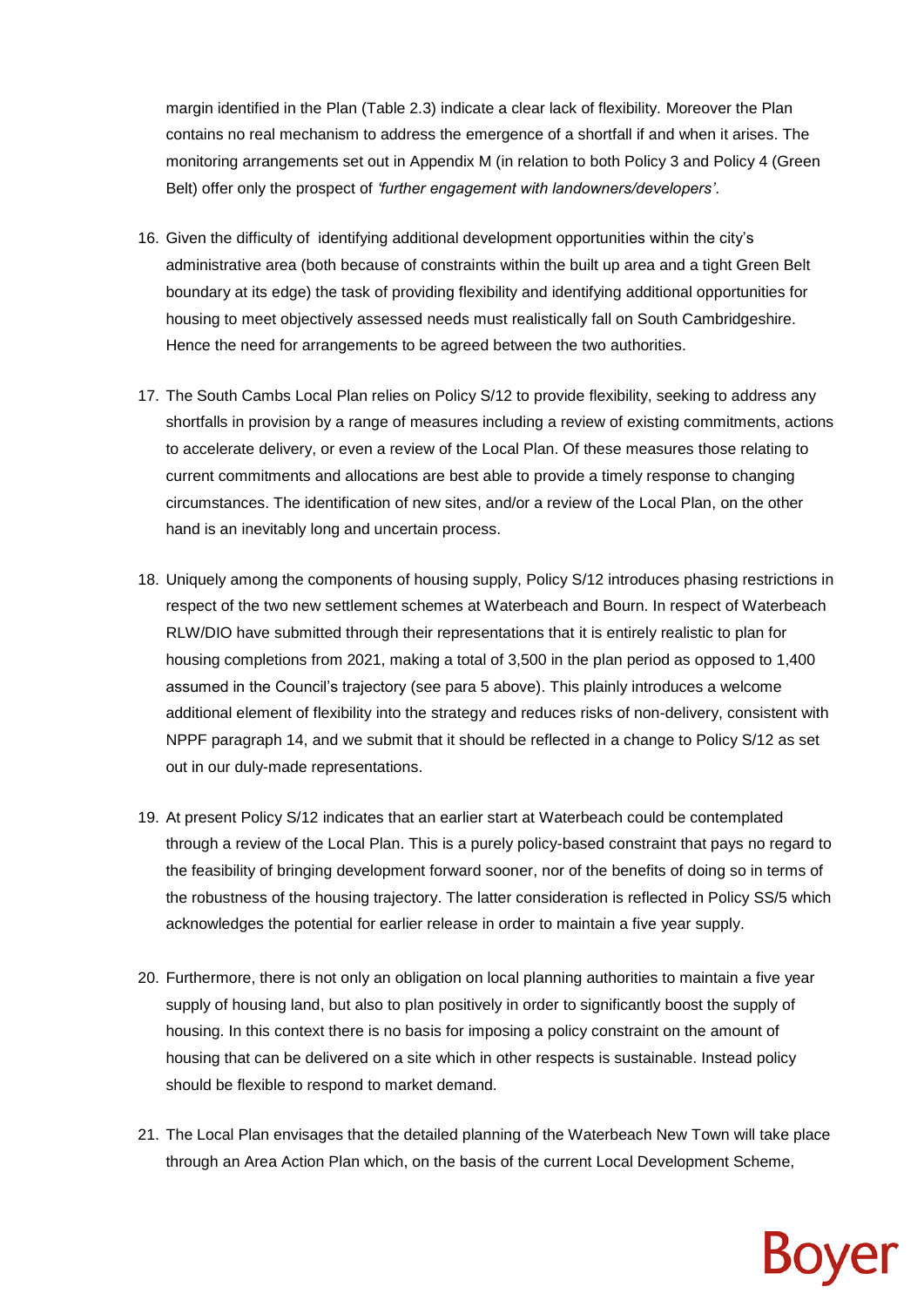margin identified in the Plan (Table 2.3) indicate a clear lack of flexibility. Moreover the Plan contains no real mechanism to address the emergence of a shortfall if and when it arises. The monitoring arrangements set out in Appendix M (in relation to both Policy 3 and Policy 4 (Green Belt) offer only the prospect of *'further engagement with landowners/developers'*.

- 16. Given the difficulty of identifying additional development opportunities within the city's administrative area (both because of constraints within the built up area and a tight Green Belt boundary at its edge) the task of providing flexibility and identifying additional opportunities for housing to meet objectively assessed needs must realistically fall on South Cambridgeshire. Hence the need for arrangements to be agreed between the two authorities.
- 17. The South Cambs Local Plan relies on Policy S/12 to provide flexibility, seeking to address any shortfalls in provision by a range of measures including a review of existing commitments, actions to accelerate delivery, or even a review of the Local Plan. Of these measures those relating to current commitments and allocations are best able to provide a timely response to changing circumstances. The identification of new sites, and/or a review of the Local Plan, on the other hand is an inevitably long and uncertain process.
- 18. Uniquely among the components of housing supply, Policy S/12 introduces phasing restrictions in respect of the two new settlement schemes at Waterbeach and Bourn. In respect of Waterbeach RLW/DIO have submitted through their representations that it is entirely realistic to plan for housing completions from 2021, making a total of 3,500 in the plan period as opposed to 1,400 assumed in the Council's trajectory (see para 5 above). This plainly introduces a welcome additional element of flexibility into the strategy and reduces risks of non-delivery, consistent with NPPF paragraph 14, and we submit that it should be reflected in a change to Policy S/12 as set out in our duly-made representations.
- 19. At present Policy S/12 indicates that an earlier start at Waterbeach could be contemplated through a review of the Local Plan. This is a purely policy-based constraint that pays no regard to the feasibility of bringing development forward sooner, nor of the benefits of doing so in terms of the robustness of the housing trajectory. The latter consideration is reflected in Policy SS/5 which acknowledges the potential for earlier release in order to maintain a five year supply.
- 20. Furthermore, there is not only an obligation on local planning authorities to maintain a five year supply of housing land, but also to plan positively in order to significantly boost the supply of housing. In this context there is no basis for imposing a policy constraint on the amount of housing that can be delivered on a site which in other respects is sustainable. Instead policy should be flexible to respond to market demand.
- 21. The Local Plan envisages that the detailed planning of the Waterbeach New Town will take place through an Area Action Plan which, on the basis of the current Local Development Scheme,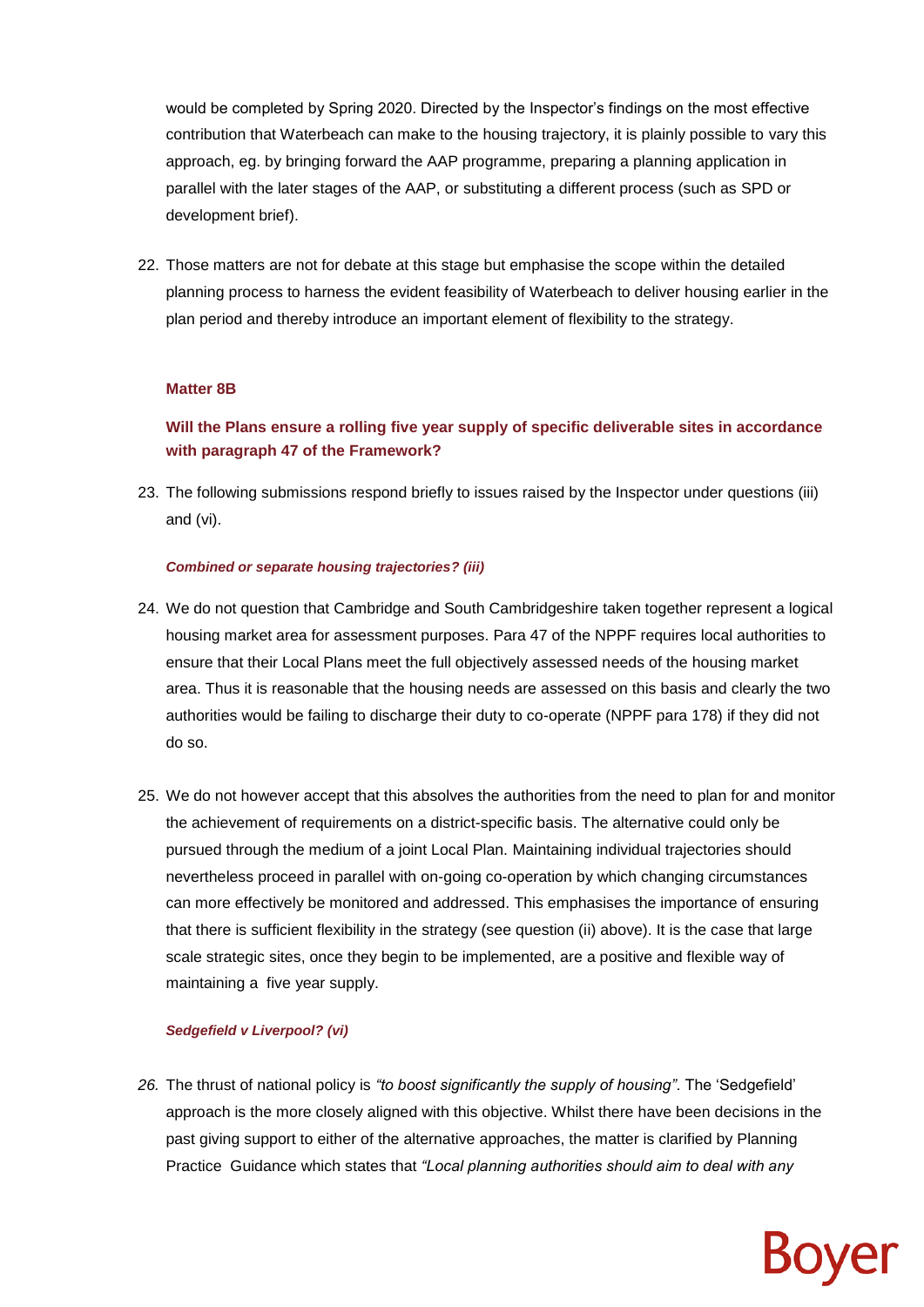would be completed by Spring 2020. Directed by the Inspector's findings on the most effective contribution that Waterbeach can make to the housing trajectory, it is plainly possible to vary this approach, eg. by bringing forward the AAP programme, preparing a planning application in parallel with the later stages of the AAP, or substituting a different process (such as SPD or development brief).

22. Those matters are not for debate at this stage but emphasise the scope within the detailed planning process to harness the evident feasibility of Waterbeach to deliver housing earlier in the plan period and thereby introduce an important element of flexibility to the strategy.

#### **Matter 8B**

# **Will the Plans ensure a rolling five year supply of specific deliverable sites in accordance with paragraph 47 of the Framework?**

23. The following submissions respond briefly to issues raised by the Inspector under questions (iii) and (vi).

#### *Combined or separate housing trajectories? (iii)*

- 24. We do not question that Cambridge and South Cambridgeshire taken together represent a logical housing market area for assessment purposes. Para 47 of the NPPF requires local authorities to ensure that their Local Plans meet the full objectively assessed needs of the housing market area. Thus it is reasonable that the housing needs are assessed on this basis and clearly the two authorities would be failing to discharge their duty to co-operate (NPPF para 178) if they did not do so.
- 25. We do not however accept that this absolves the authorities from the need to plan for and monitor the achievement of requirements on a district-specific basis. The alternative could only be pursued through the medium of a joint Local Plan. Maintaining individual trajectories should nevertheless proceed in parallel with on-going co-operation by which changing circumstances can more effectively be monitored and addressed. This emphasises the importance of ensuring that there is sufficient flexibility in the strategy (see question (ii) above). It is the case that large scale strategic sites, once they begin to be implemented, are a positive and flexible way of maintaining a five year supply.

## *Sedgefield v Liverpool? (vi)*

*26.* The thrust of national policy is *"to boost significantly the supply of housing"*. The 'Sedgefield' approach is the more closely aligned with this objective. Whilst there have been decisions in the past giving support to either of the alternative approaches, the matter is clarified by Planning Practice Guidance which states that *"Local planning authorities should aim to deal with any*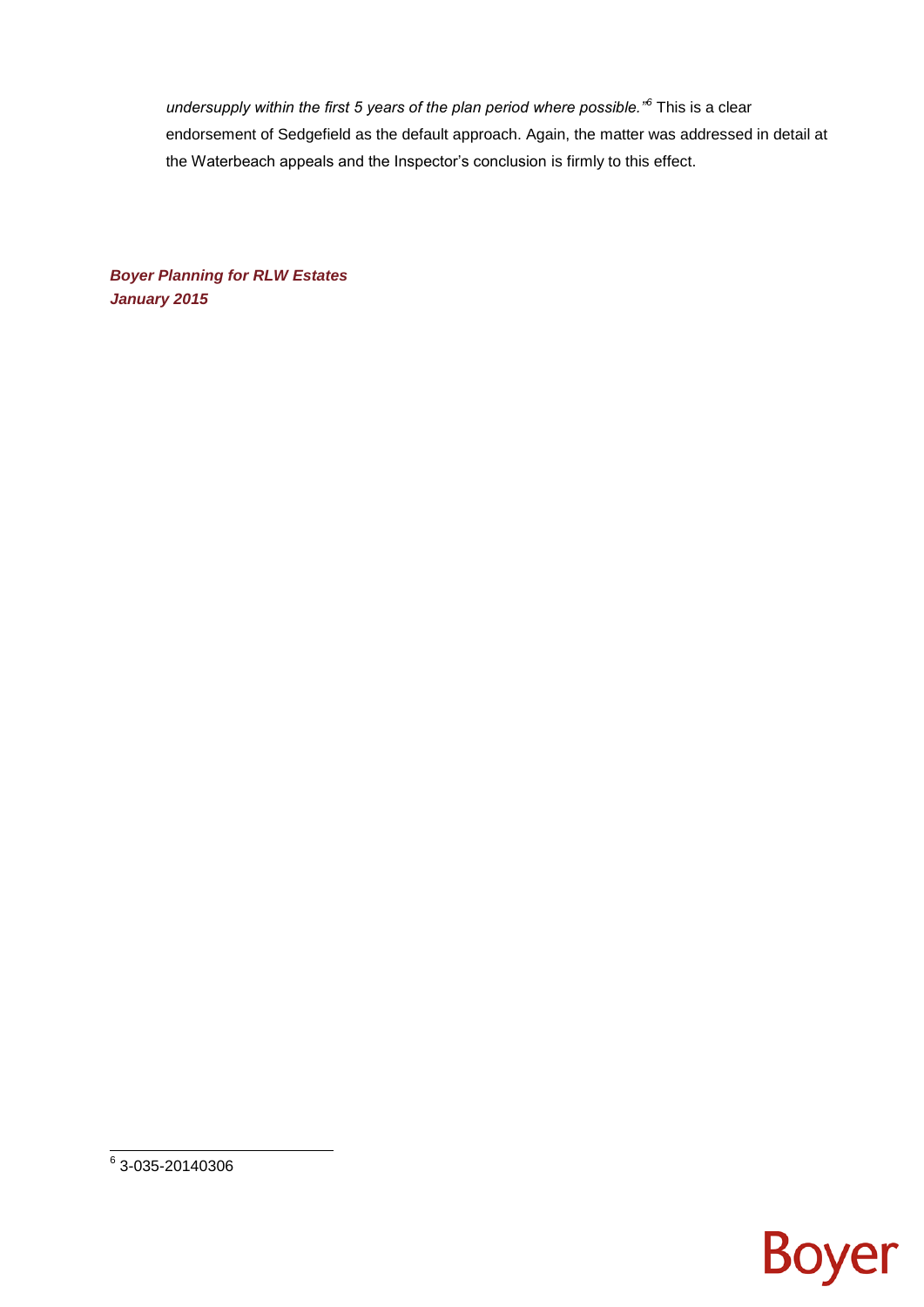*undersupply within the first 5 years of the plan period where possible."<sup>6</sup>* This is a clear endorsement of Sedgefield as the default approach. Again, the matter was addressed in detail at the Waterbeach appeals and the Inspector's conclusion is firmly to this effect.

*Boyer Planning for RLW Estates January 2015*



6 3-035-20140306